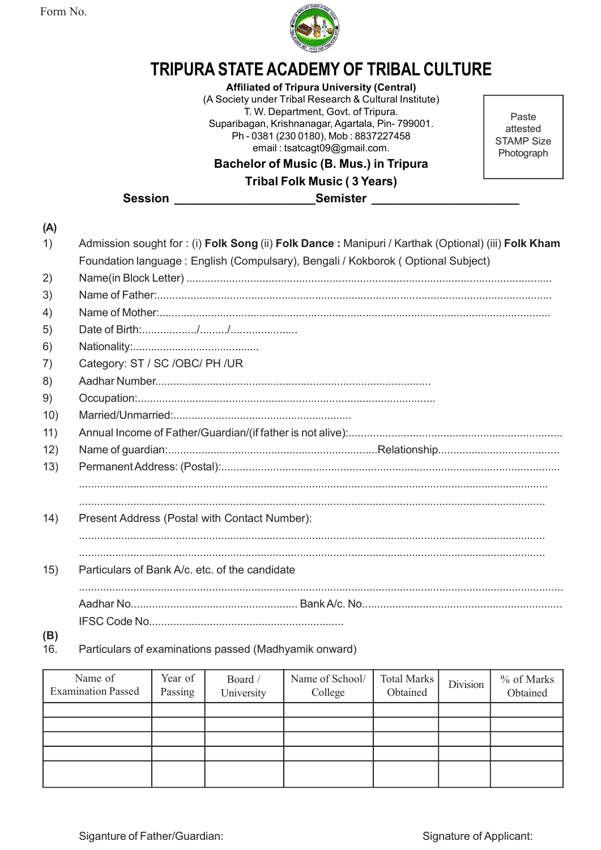Form No.



Affiliated of Tripura University (Central)

TRIPURA STATE ACADEMY OF TRIBAL CULTURE<br>
Affiliated of Tripura University (Central)<br>
(A Society under Tribal Research & Cultural Institute)<br>
T. W. Department, Govt. of Tripura.<br>
Suparibagan, Krishnanagar, Agartala, Pin-799 (A Society under Tribal Research & Cultural Institute) T. W. Department, Govt. of Tripura. **STATE ACADEMY OF TRIBAL CULTURE**<br> **ASTATE ACADEMY OF TRIBAL CULTURE**<br>
A Society under Tribal Research & Cultural Institute)<br>
T. W. Department, Govt. of Tripura.<br>
Suparibagan, Krishnanagar, Agartala, Pin- 799001.<br>
Ph- 0381 Ph - 0381 (230 0180), Mob : 8837227458 email : tsatcagt09@gmail.com.

Bachelor of Music (B. Mus.) in Tripura

Tribal Folk Music ( 3 Years)

Session \_\_\_\_\_\_\_\_\_\_\_\_\_\_\_\_\_\_\_\_\_Semister \_\_\_\_\_\_\_\_\_\_\_\_\_\_\_\_\_\_\_\_\_\_

(A) Form No.<br>
1) **TRIPURA STATE ACADEMY OF TRIBAL CULTURE**<br>
(A Society under Tribal Research & Cultural Institute)<br>
(A Society under Tribal Research & Cultural Institute)<br>
Supporting that the computation of Music (B. Mus.) in Foundation language : English (Compulsary), Bengali / Kokborok ( Optional Subject) TRIPURA STATE ACADEMY OF TRIBAL CULTURE<br>
(A Society under Tributa do Tributa (Secrety (Central)<br>
(A Society under Tributa Research & Cultural Institute)<br>
Superiors of Muscles (30 tributa), Month Size and It states the Cult **TRIPURA STATE ACADEMY OF TRIBAL CULTURE**<br>
Affiliated of Tripura University (Central)<br>
(A Society under Tribal Research & Cultural Institute)<br>
Thus are applicant (Society and the U.S. In Tripura<br>
Ph. 0381 (230 0180), Mob. TRIPURA STATE ACADEMY OF TRIBAL CULTURE<br>
Affiliated of Tripura University (Central)<br>
(A Society under Tribal Research & Cultural Institute)<br>
TW. Department, Govt of Tripura<br>
Superibegan, Krishnanagar, Agartala, Pin-799001. IRIPURA STATE ACADEMY OF TRIBA<br>
Affiliated of Tripura University (Central Research & Cultural In<br>
(A Society under Tripal Research & Cultural In<br>
T. W. Department, Govt. of Tripura.<br>
Ph - 0381 (230 0180), Mob : 8837227456<br> Affiliated of Tripura University (Centra<br>
(A Society under Tribal Research & Cultural In<br>
Suparibagan, Krishnangar, Agatala, Pin-79<br>
Ph-0381 (230 0180), Mob : 8837227458<br>
Ph-0381 (230 0180), Mob : 8837227458<br> **Bachelor of** The Cost of Tripura<br>
T. W. Department, Govt. of Tripura.<br>
Superhaps and Assumance, Agartala, Phin-799001.<br>
Ph - 0381 (230 0180), Mob : 8837227458<br>
email: tsatcagt09@gmail.com.<br> **Bachelor of Music (B. Mus.) in Tripura<br>
Frib** Suparibagan, Krishnanagar, Agartala, Pin- 799001.<br>
Ph- 0381 (230 0180), Mob: 08837227458<br> **Bachelor of Music (B. Mus.) in Tripura**<br> **Bachelor of Music (3 Years)**<br> **Bachelor of Music (3 Years)**<br>
Session<br>
(A)<br>
(A)<br>
Mame in B 9) Phrotographic total (19) Coccupation:<br>
9) Occupation:<br>
9) Occupation:<br>
9) Occupation:<br>
9) Occupation:<br>
9) Occupation:<br>
9) Occupation:<br>
9) Occupation:<br>
9) Occupation:<br>
9) Occupation:<br>
9) Occupation:<br>
9) Occupation:<br>
9) O Category: ST / SC / Consult (Psilophera and Consumer Capital Folk Music (3 Years)<br>
10) Admission sought for : (i) Folk Song (ii) Folk Dance : Manipuri / Karthak (<br>
Foundation language : English (Compulsary), Bengali / Kokb 11) Andhar Number<br>
11) Admission sought for : (i) Folk Song (ii) Folk Dance : Manipuri / Karthak (Optional) (iii) Folk Kham<br>
Foundation language : English (Compulsary), Bengali / Kokborok (Optional Subject)<br>
21) Name of Fa 12) Name of guardian:.....................................................................Relationship........................................ (A)<br>
1) Admission sought for : (i) Folk Song (ii) Folk Dance : Maniputi / Karthak (Optional) (iii) Folk Kham<br>
Foundation language : English (Compulsary), Bengali / Kokborok (Optional Subject)<br>
2) Name of Father............ ........................................................................................................................................................... .......................................................................................................................................................... 14) Present Address (Postal with Contact Number): .......................................................................................................................................................... .......................................................................................................................................................... 15) Particulars of Bank A/c. etc. of the candidate ................................................................................................................................................................ Aadhar No....................................................... Bank A/c. No.................................................................. IFSC Code No................................................................ (B) 16. Particulars of examinations passed (Madhyamik onward)<br>
16. Particulars of examinations passed (Postal)<br>
16. Particulars of Bank Acc. etc. of the candidate<br>
16. Particulars of examinations passed (Madhyamik onward)<br>
16.

| (B)<br>16.<br>Particulars of examinations passed (Madhyamik onward)<br>Name of<br>Year of<br>Name of School/<br><b>Total Marks</b><br>Board /<br>Division<br><b>Examination Passed</b><br>Passing<br>Obtained<br>College<br>Obtained<br>University<br>Siganture of Father/Guardian:<br>Signature of Applicant: | <b><i>Comparison Damits vol.</i></b> Close of the completed |  |  |  |  |  |            |  |
|----------------------------------------------------------------------------------------------------------------------------------------------------------------------------------------------------------------------------------------------------------------------------------------------------------------|-------------------------------------------------------------|--|--|--|--|--|------------|--|
|                                                                                                                                                                                                                                                                                                                |                                                             |  |  |  |  |  |            |  |
|                                                                                                                                                                                                                                                                                                                |                                                             |  |  |  |  |  |            |  |
|                                                                                                                                                                                                                                                                                                                |                                                             |  |  |  |  |  |            |  |
|                                                                                                                                                                                                                                                                                                                |                                                             |  |  |  |  |  | % of Marks |  |
|                                                                                                                                                                                                                                                                                                                |                                                             |  |  |  |  |  |            |  |
|                                                                                                                                                                                                                                                                                                                |                                                             |  |  |  |  |  |            |  |
|                                                                                                                                                                                                                                                                                                                |                                                             |  |  |  |  |  |            |  |
|                                                                                                                                                                                                                                                                                                                |                                                             |  |  |  |  |  |            |  |
|                                                                                                                                                                                                                                                                                                                |                                                             |  |  |  |  |  |            |  |

Paste attested STAMP Size **Photograph**